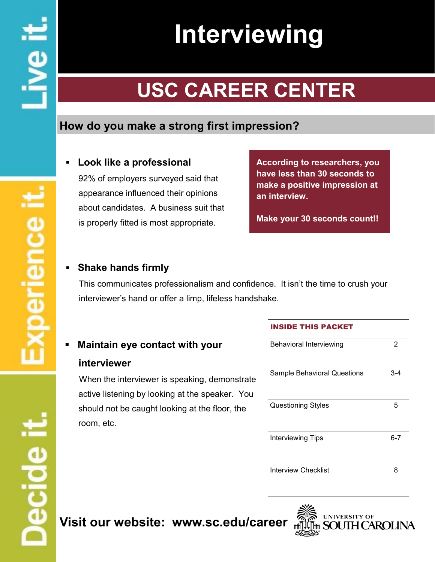# **Interviewing**

# **USC CAREER CENTER**

# **How do you make a strong first impression?**

## *▪* **Look like a professional**

92% of employers surveyed said that appearance influenced their opinions about candidates. A business suit that is properly fitted is most appropriate.

**According to researchers, you have less than 30 seconds to make a positive impression at an interview.** 

**Make your 30 seconds count!!**

## **Shake hands firmly**

This communicates professionalism and confidence. It isn't the time to crush your interviewer's hand or offer a limp, lifeless handshake.

# *▪* **Maintain eye contact with your**

#### **interviewer**

When the interviewer is speaking, demonstrate active listening by looking at the speaker. You should not be caught looking at the floor, the room, etc.

#### INSIDE THIS PACKET

| <b>Behavioral Interviewing</b>     | 2       |
|------------------------------------|---------|
| <b>Sample Behavioral Questions</b> | $3 - 4$ |
| <b>Questioning Styles</b>          | 5       |
| <b>Interviewing Tips</b>           | $6 - 7$ |
| Interview Checklist                | 8       |

# **Visit our website: www.sc.edu/career**



# **Decide**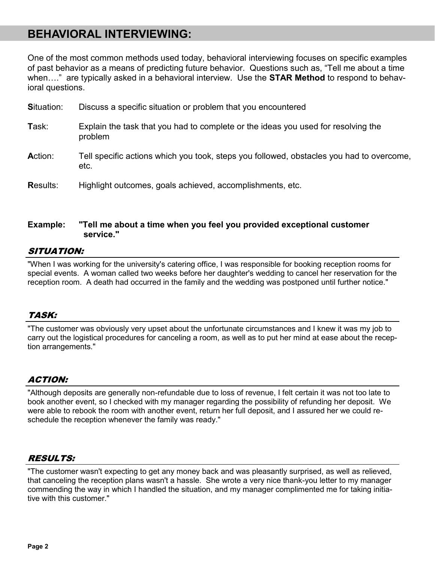# **BEHAVIORAL INTERVIEWING:**

One of the most common methods used today, behavioral interviewing focuses on specific examples of past behavior as a means of predicting future behavior. Questions such as, "Tell me about a time when…." are typically asked in a behavioral interview. Use the **STAR Method** to respond to behavioral questions.

| Discuss a specific situation or problem that you encountered                                     |
|--------------------------------------------------------------------------------------------------|
| Explain the task that you had to complete or the ideas you used for resolving the<br>problem     |
| Tell specific actions which you took, steps you followed, obstacles you had to overcome,<br>etc. |
| Highlight outcomes, goals achieved, accomplishments, etc.                                        |
|                                                                                                  |

#### **Example: "Tell me about a time when you feel you provided exceptional customer service."**

#### SITUATION:

"When I was working for the university's catering office, I was responsible for booking reception rooms for special events. A woman called two weeks before her daughter's wedding to cancel her reservation for the reception room. A death had occurred in the family and the wedding was postponed until further notice."

#### TASK:

"The customer was obviously very upset about the unfortunate circumstances and I knew it was my job to carry out the logistical procedures for canceling a room, as well as to put her mind at ease about the reception arrangements."

#### ACTION:

"Although deposits are generally non-refundable due to loss of revenue, I felt certain it was not too late to book another event, so I checked with my manager regarding the possibility of refunding her deposit. We were able to rebook the room with another event, return her full deposit, and I assured her we could reschedule the reception whenever the family was ready."

#### RESULTS:

"The customer wasn't expecting to get any money back and was pleasantly surprised, as well as relieved, that canceling the reception plans wasn't a hassle. She wrote a very nice thank-you letter to my manager commending the way in which I handled the situation, and my manager complimented me for taking initiative with this customer."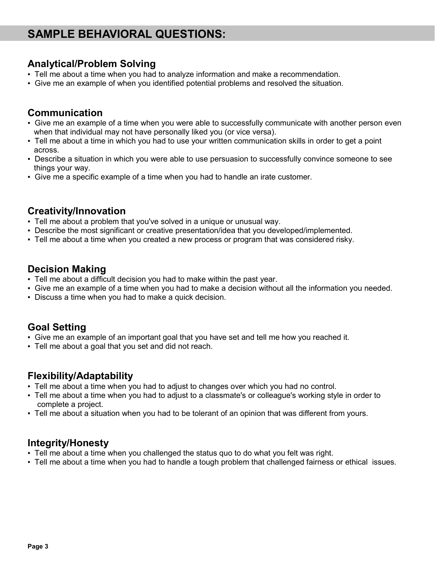# **SAMPLE BEHAVIORAL QUESTIONS:**

#### **Analytical/Problem Solving**

- Tell me about a time when you had to analyze information and make a recommendation.
- Give me an example of when you identified potential problems and resolved the situation.

#### **Communication**

- Give me an example of a time when you were able to successfully communicate with another person even when that individual may not have personally liked you (or vice versa).
- Tell me about a time in which you had to use your written communication skills in order to get a point across.
- Describe a situation in which you were able to use persuasion to successfully convince someone to see things your way.
- Give me a specific example of a time when you had to handle an irate customer.

#### **Creativity/Innovation**

- Tell me about a problem that you've solved in a unique or unusual way.
- Describe the most significant or creative presentation/idea that you developed/implemented.
- Tell me about a time when you created a new process or program that was considered risky.

#### **Decision Making**

- Tell me about a difficult decision you had to make within the past year.
- Give me an example of a time when you had to make a decision without all the information you needed.
- Discuss a time when you had to make a quick decision.

#### **Goal Setting**

- Give me an example of an important goal that you have set and tell me how you reached it.
- Tell me about a goal that you set and did not reach.

#### **Flexibility/Adaptability**

- . Tell me about a time when you had to adjust to changes over which you had no control.
- Tell me about a time when you had to adjust to a classmate's or colleague's working style in order to complete a project.
- Tell me about a situation when you had to be tolerant of an opinion that was different from yours.

#### **Integrity/Honesty**

- Tell me about a time when you challenged the status quo to do what you felt was right.
- Tell me about a time when you had to handle a tough problem that challenged fairness or ethical issues.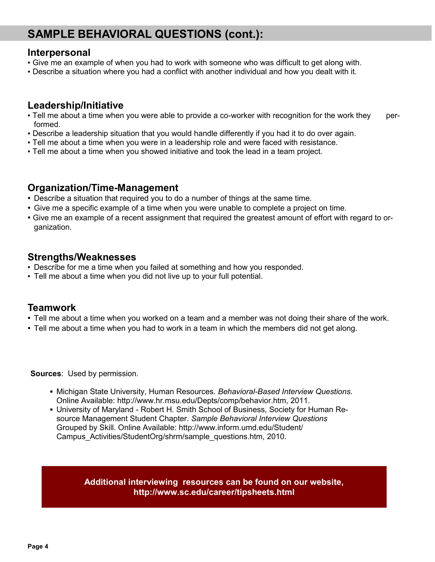# **SAMPLE BEHAVIORAL QUESTIONS (cont.):**

#### **Interpersonal**

- Give me an example of when you had to work with someone who was difficult to get along with.
- Describe a situation where you had a conflict with another individual and how you dealt with it.

#### **Leadership/Initiative**

- Tell me about a time when you were able to provide a co-worker with recognition for the work they performed.
- Describe a leadership situation that you would handle differently if you had it to do over again.
- Tell me about a time when you were in a leadership role and were faced with resistance.
- Tell me about a time when you showed initiative and took the lead in a team project.

#### **Organization/Time-Management**

- Describe a situation that required you to do a number of things at the same time.
- Give me a specific example of a time when you were unable to complete a project on time.
- Give me an example of a recent assignment that required the greatest amount of effort with regard to organization.

#### **Strengths/Weaknesses**

- Describe for me a time when you failed at something and how you responded.
- Tell me about a time when you did not live up to your full potential.

#### **Teamwork**

- Tell me about a time when you worked on a team and a member was not doing their share of the work.
- Tell me about a time when you had to work in a team in which the members did not get along.

**Sources**: Used by permission.

- **▪** Michigan State University, Human Resources. *Behavioral-Based Interview Questions.*  Online Available: http://www.hr.msu.edu/Depts/comp/behavior.htm, 2011.
- **▪** University of Maryland Robert H. Smith School of Business, Society for Human Resource Management Student Chapter. *Sample Behavioral Interview Questions*  Grouped by Skill. Online Available: http://www.inform.umd.edu/Student/ Campus\_Activities/StudentOrg/shrm/sample\_questions.htm, 2010.

**Additional interviewing resources can be found on our website, http://www.sc.edu/career/tipsheets.html**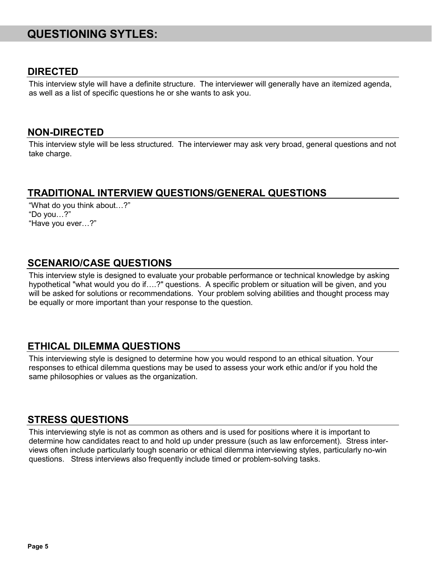# **QUESTIONING SYTLES:**

#### **DIRECTED**

This interview style will have a definite structure. The interviewer will generally have an itemized agenda, as well as a list of specific questions he or she wants to ask you.

#### **NON-DIRECTED**

This interview style will be less structured. The interviewer may ask very broad, general questions and not take charge.

#### **TRADITIONAL INTERVIEW QUESTIONS/GENERAL QUESTIONS**

"What do you think about…?" "Do you…?" "Have you ever…?"

#### **SCENARIO/CASE QUESTIONS**

This interview style is designed to evaluate your probable performance or technical knowledge by asking hypothetical "what would you do if....?" questions. A specific problem or situation will be given, and you will be asked for solutions or recommendations. Your problem solving abilities and thought process may be equally or more important than your response to the question.

#### **ETHICAL DILEMMA QUESTIONS**

This interviewing style is designed to determine how you would respond to an ethical situation. Your responses to ethical dilemma questions may be used to assess your work ethic and/or if you hold the same philosophies or values as the organization.

#### **STRESS QUESTIONS**

This interviewing style is not as common as others and is used for positions where it is important to determine how candidates react to and hold up under pressure (such as law enforcement). Stress interviews often include particularly tough scenario or ethical dilemma interviewing styles, particularly no-win questions. Stress interviews also frequently include timed or problem-solving tasks.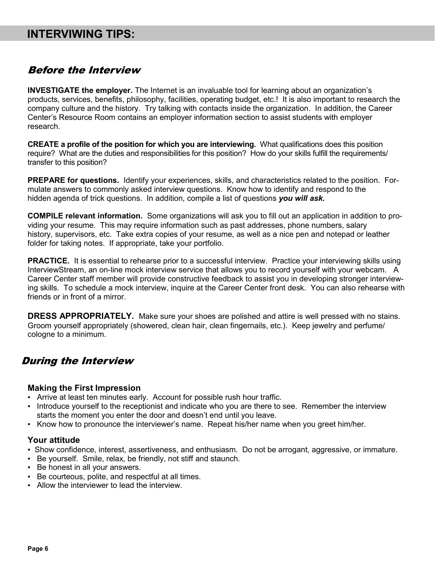# **INTERVIWING TIPS:**

#### Before the Interview

**INVESTIGATE the employer.** The Internet is an invaluable tool for learning about an organization's products, services, benefits, philosophy, facilities, operating budget, etc.! It is also important to research the company culture and the history. Try talking with contacts inside the organization. In addition, the Career Center's Resource Room contains an employer information section to assist students with employer research.

**CREATE a profile of the position for which you are interviewing.** What qualifications does this position require? What are the duties and responsibilities for this position? How do your skills fulfill the requirements/ transfer to this position?

**PREPARE for questions.** Identify your experiences, skills, and characteristics related to the position. Formulate answers to commonly asked interview questions. Know how to identify and respond to the hidden agenda of trick questions. In addition, compile a list of questions *you will ask.* 

**COMPILE relevant information.** Some organizations will ask you to fill out an application in addition to providing your resume. This may require information such as past addresses, phone numbers, salary history, supervisors, etc. Take extra copies of your resume, as well as a nice pen and notepad or leather folder for taking notes. If appropriate, take your portfolio.

**PRACTICE.** It is essential to rehearse prior to a successful interview. Practice your interviewing skills using InterviewStream, an on-line mock interview service that allows you to record yourself with your webcam. A Career Center staff member will provide constructive feedback to assist you in developing stronger interviewing skills. To schedule a mock interview, inquire at the Career Center front desk. You can also rehearse with friends or in front of a mirror.

**DRESS APPROPRIATELY.** Make sure your shoes are polished and attire is well pressed with no stains. Groom yourself appropriately (showered, clean hair, clean fingernails, etc.). Keep jewelry and perfume/ cologne to a minimum.

#### During the Interview

#### **Making the First Impression**

- Arrive at least ten minutes early. Account for possible rush hour traffic.
- Introduce yourself to the receptionist and indicate who you are there to see. Remember the interview starts the moment you enter the door and doesn't end until you leave.
- Know how to pronounce the interviewer's name. Repeat his/her name when you greet him/her.

#### **Your attitude**

- Show confidence, interest, assertiveness, and enthusiasm. Do not be arrogant, aggressive, or immature.
- Be yourself. Smile, relax, be friendly, not stiff and staunch.
- Be honest in all your answers.
- Be courteous, polite, and respectful at all times.
- **E.** Allow the interviewer to lead the interview.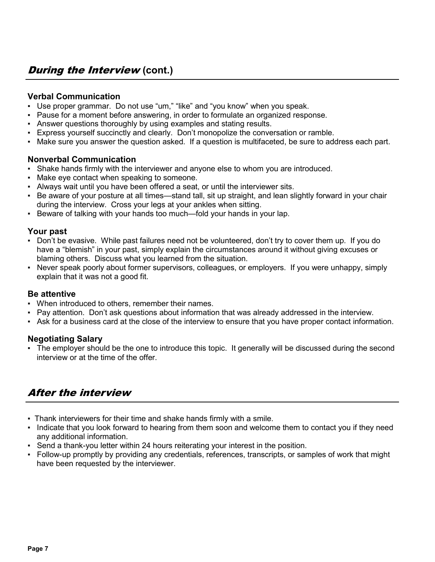#### **Verbal Communication**

- Use proper grammar. Do not use "um," "like" and "you know" when you speak.
- Pause for a moment before answering, in order to formulate an organized response.
- Answer questions thoroughly by using examples and stating results.
- Express yourself succinctly and clearly. Don't monopolize the conversation or ramble.
- Make sure you answer the question asked. If a question is multifaceted, be sure to address each part.

#### **Nonverbal Communication**

- Shake hands firmly with the interviewer and anyone else to whom you are introduced.
- Make eye contact when speaking to someone.
- Always wait until you have been offered a seat, or until the interviewer sits.
- Be aware of your posture at all times—stand tall, sit up straight, and lean slightly forward in your chair during the interview. Cross your legs at your ankles when sitting.
- Beware of talking with your hands too much—fold your hands in your lap.

#### **Your past**

- Don't be evasive. While past failures need not be volunteered, don't try to cover them up. If you do have a "blemish" in your past, simply explain the circumstances around it without giving excuses or blaming others. Discuss what you learned from the situation.
- Never speak poorly about former supervisors, colleagues, or employers. If you were unhappy, simply explain that it was not a good fit.

#### **Be attentive**

- When introduced to others, remember their names.
- Pay attention. Don't ask questions about information that was already addressed in the interview.
- Ask for a business card at the close of the interview to ensure that you have proper contact information.

#### **Negotiating Salary**

▪ The employer should be the one to introduce this topic. It generally will be discussed during the second interview or at the time of the offer.

# After the interview

- Thank interviewers for their time and shake hands firmly with a smile.
- Indicate that you look forward to hearing from them soon and welcome them to contact you if they need any additional information.
- **Send a thank-you letter within 24 hours reiterating your interest in the position.**
- Follow-up promptly by providing any credentials, references, transcripts, or samples of work that might have been requested by the interviewer.